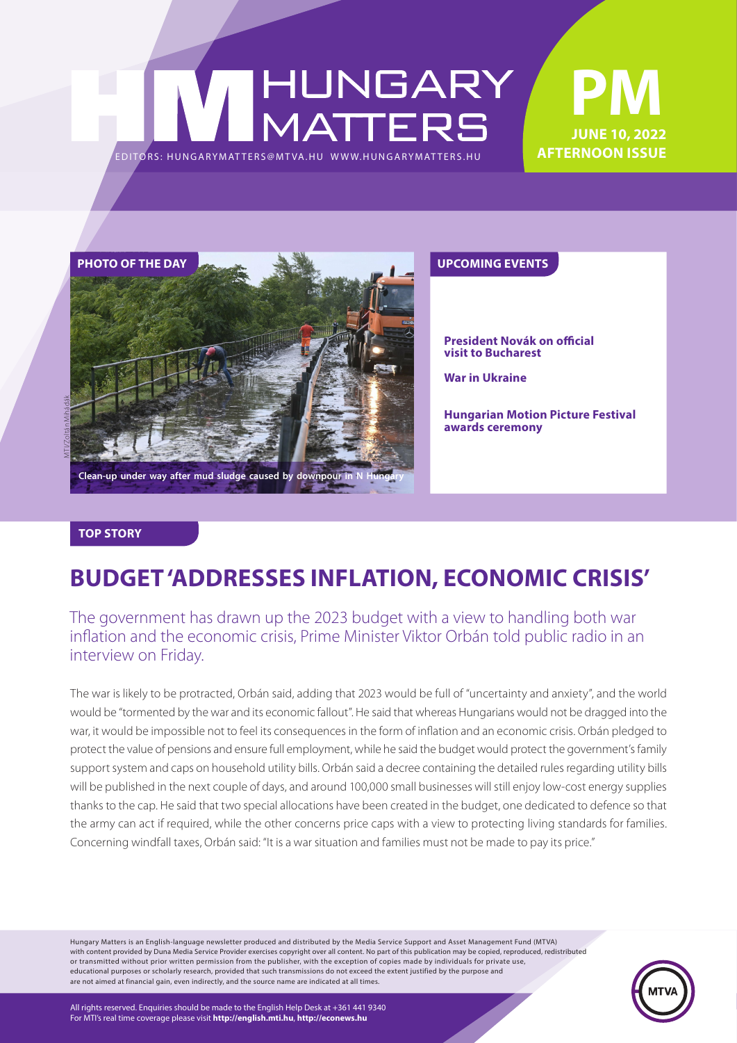### **PM** HUNGARY<br>MATTERS **June 10, 2022 AFTERNOON ISSUE** EDITORS: HUNGARYMAT TERS@MT VA.HU [WWW.HUNGARYMAT TERS.HU](http://hungarymatters.hu/)



**President Novák on official visit to Bucharest**

**War in Ukraine**

**Hungarian Motion Picture Festival awards ceremony**

#### **TOP STORY**

### **BUDGET 'ADDRESSES INFLATION, ECONOMIC CRISIS'**

#### The government has drawn up the 2023 budget with a view to handling both war inflation and the economic crisis, Prime Minister Viktor Orbán told public radio in an interview on Friday.

The war is likely to be protracted, Orbán said, adding that 2023 would be full of "uncertainty and anxiety", and the world would be "tormented by the war and its economic fallout". He said that whereas Hungarians would not be dragged into the war, it would be impossible not to feel its consequences in the form of inflation and an economic crisis. Orbán pledged to protect the value of pensions and ensure full employment, while he said the budget would protect the government's family support system and caps on household utility bills. Orbán said a decree containing the detailed rules regarding utility bills will be published in the next couple of days, and around 100,000 small businesses will still enjoy low-cost energy supplies thanks to the cap. He said that two special allocations have been created in the budget, one dedicated to defence so that the army can act if required, while the other concerns price caps with a view to protecting living standards for families. Concerning windfall taxes, Orbán said: "It is a war situation and families must not be made to pay its price."

Hungary Matters is an English-language newsletter produced and distributed by the Media Service Support and Asset Management Fund (MTVA) with content provided by Duna Media Service Provider exercises copyright over all content. No part of this publication may be copied, reproduced, redistributed or transmitted without prior written permission from the publisher, with the exception of copies made by individuals for private use, educational purposes or scholarly research, provided that such transmissions do not exceed the extent justified by the purpose and are not aimed at financial gain, even indirectly, and the source name are indicated at all times.

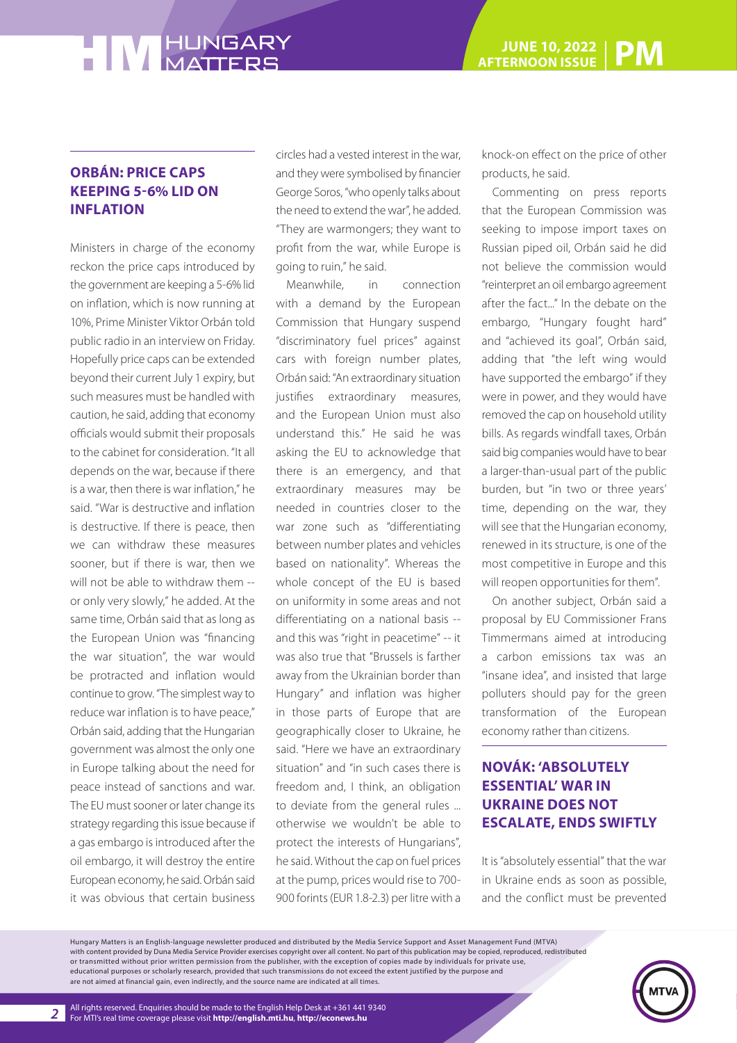#### **ORBÁN: PRICE CAPS KEEPING 5-6% LID ON INFLATION**

Ministers in charge of the economy reckon the price caps introduced by the government are keeping a 5-6% lid on inflation, which is now running at 10%, Prime Minister Viktor Orbán told public radio in an interview on Friday. Hopefully price caps can be extended beyond their current July 1 expiry, but such measures must be handled with caution, he said, adding that economy officials would submit their proposals to the cabinet for consideration. "It all depends on the war, because if there is a war, then there is war inflation," he said. "War is destructive and inflation is destructive. If there is peace, then we can withdraw these measures sooner, but if there is war, then we will not be able to withdraw them -or only very slowly," he added. At the same time, Orbán said that as long as the European Union was "financing the war situation", the war would be protracted and inflation would continue to grow. "The simplest way to reduce war inflation is to have peace," Orbán said, adding that the Hungarian government was almost the only one in Europe talking about the need for peace instead of sanctions and war. The EU must sooner or later change its strategy regarding this issue because if a gas embargo is introduced after the oil embargo, it will destroy the entire European economy, he said. Orbán said it was obvious that certain business

circles had a vested interest in the war, and they were symbolised by financier George Soros, "who openly talks about the need to extend the war", he added. "They are warmongers; they want to profit from the war, while Europe is going to ruin," he said.

Meanwhile, in connection with a demand by the European Commission that Hungary suspend "discriminatory fuel prices" against cars with foreign number plates, Orbán said: "An extraordinary situation justifies extraordinary measures, and the European Union must also understand this." He said he was asking the EU to acknowledge that there is an emergency, and that extraordinary measures may be needed in countries closer to the war zone such as "differentiating between number plates and vehicles based on nationality". Whereas the whole concept of the EU is based on uniformity in some areas and not differentiating on a national basis - and this was "right in peacetime" -- it was also true that "Brussels is farther away from the Ukrainian border than Hungary" and inflation was higher in those parts of Europe that are geographically closer to Ukraine, he said. "Here we have an extraordinary situation" and "in such cases there is freedom and, I think, an obligation to deviate from the general rules ... otherwise we wouldn't be able to protect the interests of Hungarians", he said. Without the cap on fuel prices at the pump, prices would rise to 700- 900 forints (EUR 1.8-2.3) per litre with a knock-on effect on the price of other products, he said.

Commenting on press reports that the European Commission was seeking to impose import taxes on Russian piped oil, Orbán said he did not believe the commission would "reinterpret an oil embargo agreement after the fact..." In the debate on the embargo, "Hungary fought hard" and "achieved its goal", Orbán said, adding that "the left wing would have supported the embargo" if they were in power, and they would have removed the cap on household utility bills. As regards windfall taxes, Orbán said big companies would have to bear a larger-than-usual part of the public burden, but "in two or three years' time, depending on the war, they will see that the Hungarian economy, renewed in its structure, is one of the most competitive in Europe and this will reopen opportunities for them".

On another subject, Orbán said a proposal by EU Commissioner Frans Timmermans aimed at introducing a carbon emissions tax was an "insane idea", and insisted that large polluters should pay for the green transformation of the European economy rather than citizens.

#### **NOVÁK: 'ABSOLUTELY ESSENTIAL' WAR IN UKRAINE DOES NOT ESCALATE, ENDS SWIFTLY**

It is "absolutely essential" that the war in Ukraine ends as soon as possible, and the conflict must be prevented

Hungary Matters is an English-language newsletter produced and distributed by the Media Service Support and Asset Management Fund (MTVA) with content provided by Duna Media Service Provider exercises copyright over all content. No part of this publication may be copied, reproduced, redistributed or transmitted without prior written permission from the publisher, with the exception of copies made by individuals for private use, educational purposes or scholarly research, provided that such transmissions do not exceed the extent justified by the purpose and are not aimed at financial gain, even indirectly, and the source name are indicated at all times.

*2*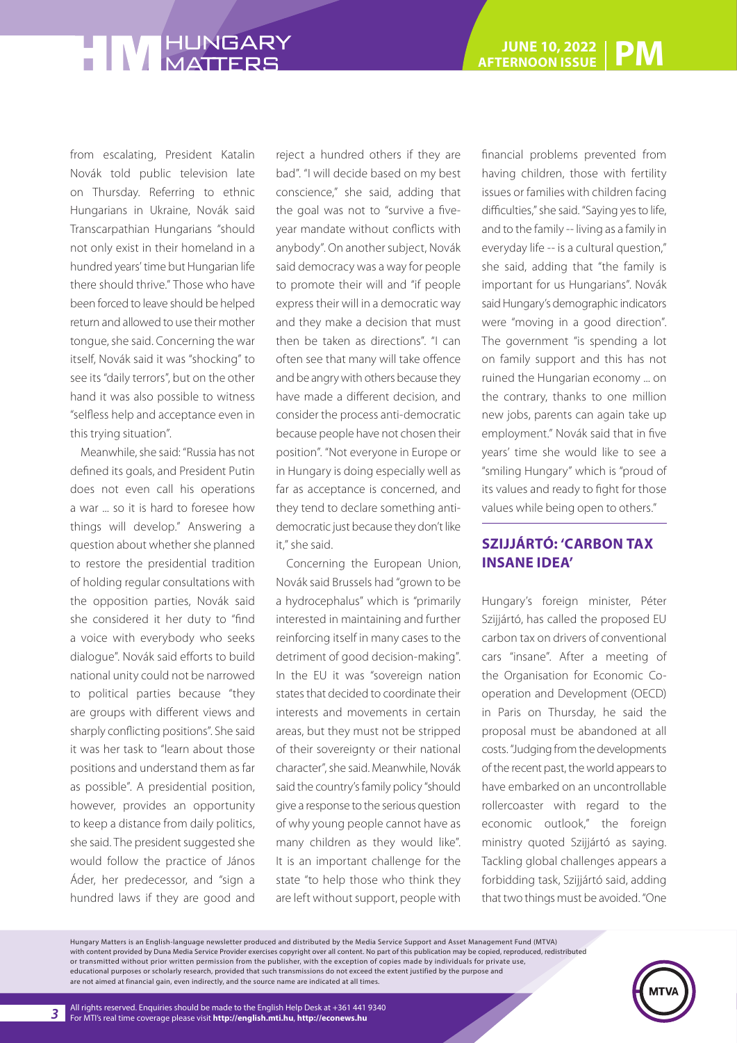from escalating, President Katalin Novák told public television late on Thursday. Referring to ethnic Hungarians in Ukraine, Novák said Transcarpathian Hungarians "should not only exist in their homeland in a hundred years' time but Hungarian life there should thrive." Those who have been forced to leave should be helped return and allowed to use their mother tongue, she said. Concerning the war itself, Novák said it was "shocking" to see its "daily terrors", but on the other hand it was also possible to witness "selfless help and acceptance even in this trying situation".

Meanwhile, she said: "Russia has not defined its goals, and President Putin does not even call his operations a war ... so it is hard to foresee how things will develop." Answering a question about whether she planned to restore the presidential tradition of holding regular consultations with the opposition parties, Novák said she considered it her duty to "find a voice with everybody who seeks dialogue". Novák said efforts to build national unity could not be narrowed to political parties because "they are groups with different views and sharply conflicting positions". She said it was her task to "learn about those positions and understand them as far as possible". A presidential position, however, provides an opportunity to keep a distance from daily politics, she said. The president suggested she would follow the practice of János Áder, her predecessor, and "sign a hundred laws if they are good and

reject a hundred others if they are bad". "I will decide based on my best conscience," she said, adding that the goal was not to "survive a fiveyear mandate without conflicts with anybody". On another subject, Novák said democracy was a way for people to promote their will and "if people express their will in a democratic way and they make a decision that must then be taken as directions". "I can often see that many will take offence and be angry with others because they have made a different decision, and consider the process anti-democratic because people have not chosen their position". "Not everyone in Europe or in Hungary is doing especially well as far as acceptance is concerned, and they tend to declare something antidemocratic just because they don't like it," she said.

Concerning the European Union, Novák said Brussels had "grown to be a hydrocephalus" which is "primarily interested in maintaining and further reinforcing itself in many cases to the detriment of good decision-making". In the EU it was "sovereign nation states that decided to coordinate their interests and movements in certain areas, but they must not be stripped of their sovereignty or their national character", she said. Meanwhile, Novák said the country's family policy "should give a response to the serious question of why young people cannot have as many children as they would like". It is an important challenge for the state "to help those who think they are left without support, people with

financial problems prevented from having children, those with fertility issues or families with children facing difficulties," she said. "Saying yes to life, and to the family -- living as a family in everyday life -- is a cultural question," she said, adding that "the family is important for us Hungarians". Novák said Hungary's demographic indicators were "moving in a good direction". The government "is spending a lot on family support and this has not ruined the Hungarian economy ... on the contrary, thanks to one million new jobs, parents can again take up employment." Novák said that in five years' time she would like to see a "smiling Hungary" which is "proud of its values and ready to fight for those values while being open to others."

#### **SZIJJÁRTÓ: 'CARBON TAX INSANE IDEA'**

Hungary's foreign minister, Péter Szijjártó, has called the proposed EU carbon tax on drivers of conventional cars "insane". After a meeting of the Organisation for Economic Cooperation and Development (OECD) in Paris on Thursday, he said the proposal must be abandoned at all costs. "Judging from the developments of the recent past, the world appears to have embarked on an uncontrollable rollercoaster with regard to the economic outlook," the foreign ministry quoted Szijjártó as saying. Tackling global challenges appears a forbidding task, Szijjártó said, adding that two things must be avoided. "One

Hungary Matters is an English-language newsletter produced and distributed by the Media Service Support and Asset Management Fund (MTVA) with content provided by Duna Media Service Provider exercises copyright over all content. No part of this publication may be copied, reproduced, redistributed or transmitted without prior written permission from the publisher, with the exception of copies made by individuals for private use, educational purposes or scholarly research, provided that such transmissions do not exceed the extent justified by the purpose and are not aimed at financial gain, even indirectly, and the source name are indicated at all times.

*3*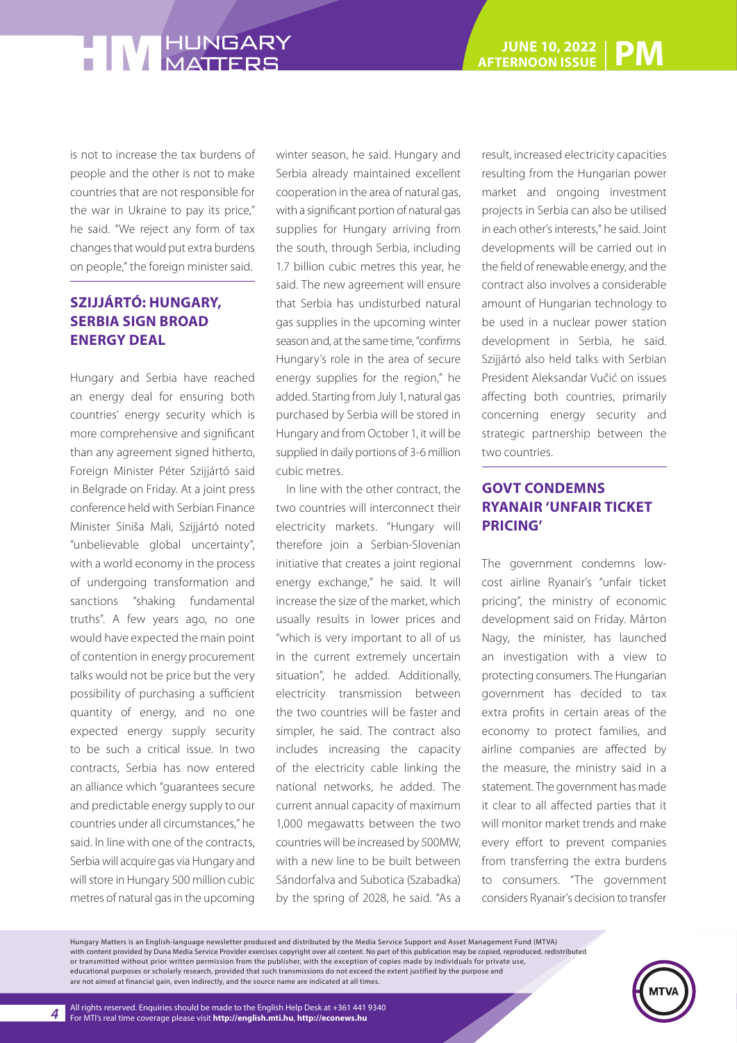is not to increase the tax burdens of people and the other is not to make countries that are not responsible for the war in Ukraine to pay its price," he said. "We reject any form of tax changes that would put extra burdens on people," the foreign minister said.

#### **SZIJJÁRTÓ: HUNGARY, SERBIA SIGN BROAD ENERGY DEAL**

Hungary and Serbia have reached an energy deal for ensuring both countries' energy security which is more comprehensive and significant than any agreement signed hitherto, Foreign Minister Péter Szijjártó said in Belgrade on Friday. At a joint press conference held with Serbian Finance Minister Siniša Mali, Szijjártó noted "unbelievable global uncertainty", with a world economy in the process of undergoing transformation and sanctions "shaking fundamental truths". A few years ago, no one would have expected the main point of contention in energy procurement talks would not be price but the very possibility of purchasing a sufficient quantity of energy, and no one expected energy supply security to be such a critical issue. In two contracts, Serbia has now entered an alliance which "guarantees secure and predictable energy supply to our countries under all circumstances," he said. In line with one of the contracts, Serbia will acquire gas via Hungary and will store in Hungary 500 million cubic metres of natural gas in the upcoming

winter season, he said. Hungary and Serbia already maintained excellent cooperation in the area of natural gas, with a significant portion of natural gas supplies for Hungary arriving from the south, through Serbia, including 1.7 billion cubic metres this year, he said. The new agreement will ensure that Serbia has undisturbed natural gas supplies in the upcoming winter season and, at the same time, "confirms Hungary's role in the area of secure energy supplies for the region," he added. Starting from July 1, natural gas purchased by Serbia will be stored in Hungary and from October 1, it will be supplied in daily portions of 3-6 million cubic metres.

In line with the other contract, the two countries will interconnect their electricity markets. "Hungary will therefore join a Serbian-Slovenian initiative that creates a joint regional energy exchange," he said. It will increase the size of the market, which usually results in lower prices and "which is very important to all of us in the current extremely uncertain situation", he added. Additionally, electricity transmission between the two countries will be faster and simpler, he said. The contract also includes increasing the capacity of the electricity cable linking the national networks, he added. The current annual capacity of maximum 1,000 megawatts between the two countries will be increased by 500MW, with a new line to be built between Sándorfalva and Subotica (Szabadka) by the spring of 2028, he said. "As a result, increased electricity capacities resulting from the Hungarian power market and ongoing investment projects in Serbia can also be utilised in each other's interests," he said. Joint developments will be carried out in the field of renewable energy, and the contract also involves a considerable amount of Hungarian technology to be used in a nuclear power station development in Serbia, he said. Szijjártó also held talks with Serbian President Aleksandar Vučić on issues affecting both countries, primarily concerning energy security and strategic partnership between the two countries.

#### **GOVT CONDEMNS RYANAIR 'UNFAIR TICKET PRICING'**

The government condemns lowcost airline Ryanair's "unfair ticket pricing", the ministry of economic development said on Friday. Márton Nagy, the minister, has launched an investigation with a view to protecting consumers. The Hungarian government has decided to tax extra profits in certain areas of the economy to protect families, and airline companies are affected by the measure, the ministry said in a statement. The government has made it clear to all affected parties that it will monitor market trends and make every effort to prevent companies from transferring the extra burdens to consumers. "The government considers Ryanair's decision to transfer

Hungary Matters is an English-language newsletter produced and distributed by the Media Service Support and Asset Management Fund (MTVA) with content provided by Duna Media Service Provider exercises copyright over all content. No part of this publication may be copied, reproduced, redistributed or transmitted without prior written permission from the publisher, with the exception of copies made by individuals for private use, educational purposes or scholarly research, provided that such transmissions do not exceed the extent justified by the purpose and are not aimed at financial gain, even indirectly, and the source name are indicated at all times.

*4*